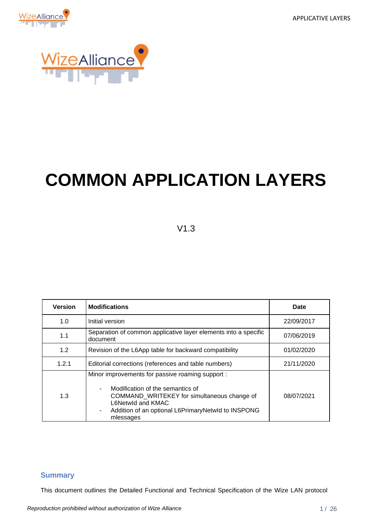APPLICATIVE LAYERS





# **COMMON APPLICATION LAYERS**

V1.3

| <b>Version</b> | <b>Modifications</b>                                                                                                                                                                                                             | Date       |
|----------------|----------------------------------------------------------------------------------------------------------------------------------------------------------------------------------------------------------------------------------|------------|
| 1.0            | Initial version                                                                                                                                                                                                                  | 22/09/2017 |
| 1.1            | Separation of common applicative layer elements into a specific<br>document                                                                                                                                                      | 07/06/2019 |
| 1.2            | Revision of the L6App table for backward compatibility                                                                                                                                                                           | 01/02/2020 |
| 1.2.1          | Editorial corrections (references and table numbers)                                                                                                                                                                             | 21/11/2020 |
| 1.3            | Minor improvements for passive roaming support :<br>Modification of the semantics of<br>COMMAND WRITEKEY for simultaneous change of<br>L6Netwid and KMAC<br>Addition of an optional L6PrimaryNetwId to INSPONG<br>٠<br>mlessages | 08/07/2021 |

#### <span id="page-0-0"></span>**Summary**

This document outlines the Detailed Functional and Technical Specification of the Wize LAN protocol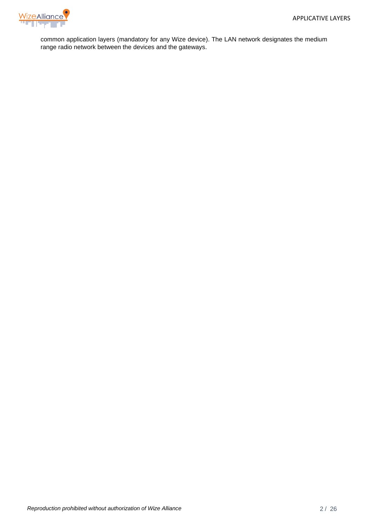

common application layers (mandatory for any Wize device). The LAN network designates the medium range radio network between the devices and the gateways.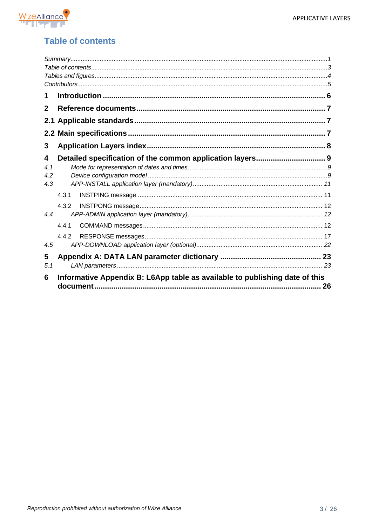

# <span id="page-2-0"></span>**Table of contents**

| 1            |                                                                                   |  |
|--------------|-----------------------------------------------------------------------------------|--|
| $\mathbf{2}$ |                                                                                   |  |
|              |                                                                                   |  |
|              |                                                                                   |  |
| 3            |                                                                                   |  |
| 4            | Detailed specification of the common application layers 9                         |  |
| 4.1          |                                                                                   |  |
| 4.2          |                                                                                   |  |
| 4.3          |                                                                                   |  |
|              | 4.3.1                                                                             |  |
|              | 4.3.2                                                                             |  |
| 4.4          |                                                                                   |  |
|              | 4.4.1                                                                             |  |
|              | 4.4.2                                                                             |  |
| 4.5          |                                                                                   |  |
| 5            |                                                                                   |  |
| 5.1          |                                                                                   |  |
| 6            | Informative Appendix B: L6App table as available to publishing date of this<br>26 |  |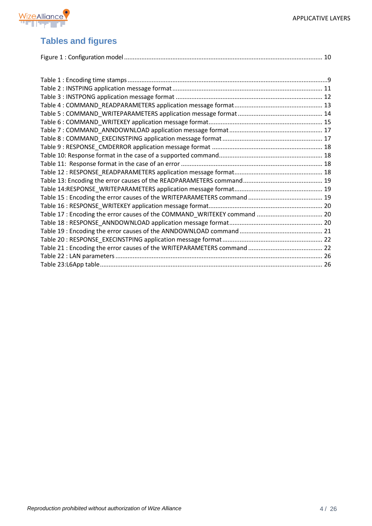

## <span id="page-3-0"></span>**Tables and figures**

| Table 17 : Encoding the error causes of the COMMAND_WRITEKEY command  20 |  |
|--------------------------------------------------------------------------|--|
|                                                                          |  |
|                                                                          |  |

[Table 20 : RESPONSE\\_EXECINSTPING application message format..........................................................](#page-21-1) 22 [Table 21 : Encoding the error causes of the](#page-21-2) WRITEPARAMETERS command ........................................... 22 [Table 22 : LAN parameters........................................................................................................................](#page-25-1) 26 [Table 23:L6App table.................................................................................................................................](#page-25-2) 26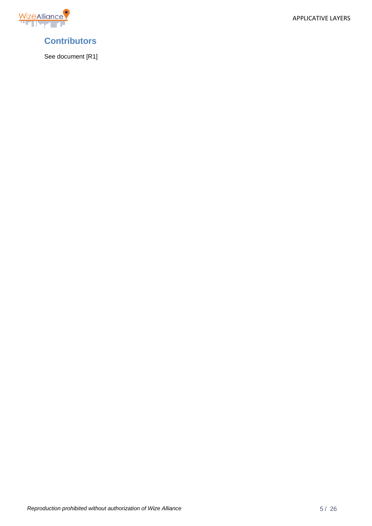APPLICATIVE LAYERS



<span id="page-4-0"></span>

See document [R1]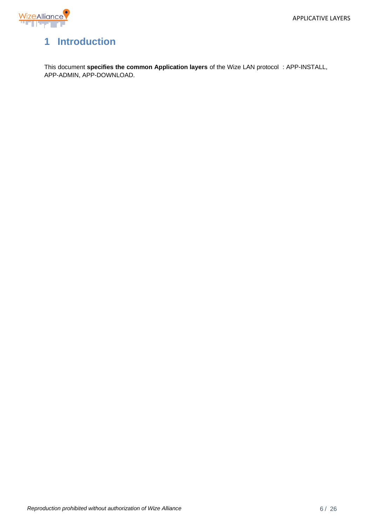

# <span id="page-5-0"></span>**1 Introduction**

This document **specifies the common Application layers** of the Wize LAN protocol : APP-INSTALL, APP-ADMIN, APP-DOWNLOAD.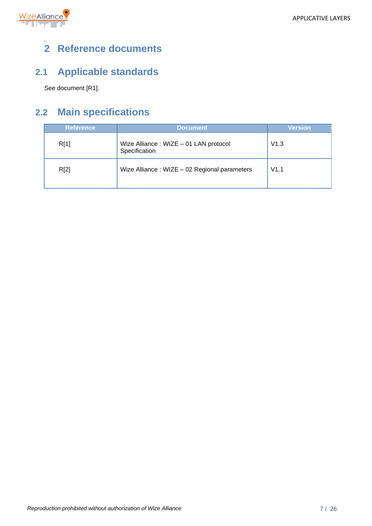

## <span id="page-6-0"></span>*.* **2 Reference documents**

# <span id="page-6-1"></span>**2.1 Applicable standards**

See document [R1].

# <span id="page-6-2"></span>**2.2 Main specifications**

| <b>Reference</b> | <b>Document</b>                                        | <b>Version</b> |
|------------------|--------------------------------------------------------|----------------|
| R[1]             | Wize Alliance: WIZE - 01 LAN protocol<br>Specification | V1.3           |
| R[2]             | Wize Alliance: WIZE - 02 Regional parameters           | V1.1           |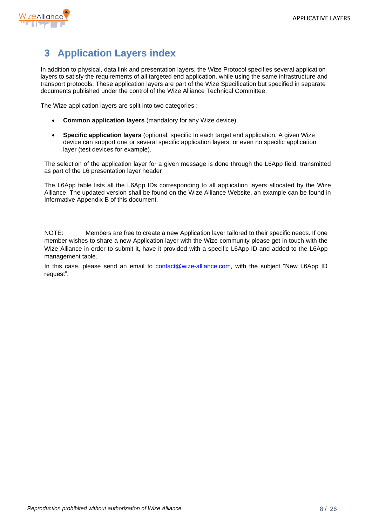

# <span id="page-7-0"></span>**3 Application Layers index**

In addition to physical, data link and presentation layers, the Wize Protocol specifies several application layers to satisfy the requirements of all targeted end application, while using the same infrastructure and transport protocols. These application layers are part of the Wize Specification but specified in separate documents published under the control of the Wize Alliance Technical Committee.

The Wize application layers are split into two categories :

- **Common application layers** (mandatory for any Wize device).
- **Specific application layers** (optional, specific to each target end application. A given Wize device can support one or several specific application layers, or even no specific application layer (test devices for example).

The selection of the application layer for a given message is done through the L6App field, transmitted as part of the L6 presentation layer header

The L6App table lists all the L6App IDs corresponding to all application layers allocated by the Wize Alliance. The updated version shall be found on the Wize Alliance Website, an example can be found in Informative Appendix B of this document.

NOTE: Members are free to create a new Application layer tailored to their specific needs. If one member wishes to share a new Application layer with the Wize community please get in touch with the Wize Alliance in order to submit it, have it provided with a specific L6App ID and added to the L6App management table.

In this case, please send an email to [contact@wize-alliance.com,](mailto:contact@wize-alliance.com) with the subject "New L6App ID request".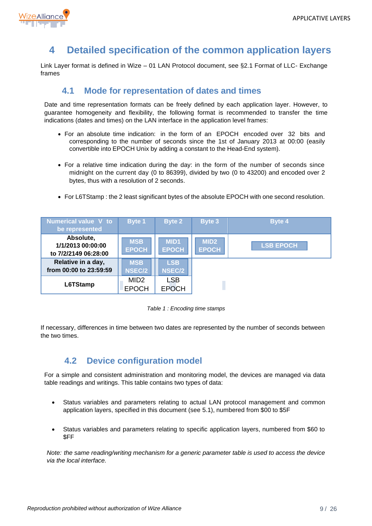

# <span id="page-8-0"></span>**4 Detailed specification of the common application layers**

Link Layer format is defined in Wize – 01 LAN Protocol document, see §2.1 Format of LLC- Exchange frames

## **4.1 Mode for representation of dates and times**

<span id="page-8-1"></span>Date and time representation formats can be freely defined by each application layer. However, to guarantee homogeneity and flexibility, the following format is recommended to transfer the time indications (dates and times) on the LAN interface in the application level frames:

- For an absolute time indication: in the form of an EPOCH encoded over 32 bits and corresponding to the number of seconds since the 1st of January 2013 at 00:00 (easily convertible into EPOCH Unix by adding a constant to the Head-End system).
- For a relative time indication during the day: in the form of the number of seconds since midnight on the current day (0 to 86399), divided by two (0 to 43200) and encoded over 2 bytes, thus with a resolution of 2 seconds.
- For L6TStamp : the 2 least significant bytes of the absolute EPOCH with one second resolution.



*Table 1 : Encoding time stamps*

<span id="page-8-3"></span>If necessary, differences in time between two dates are represented by the number of seconds between the two times.

# **4.2 Device configuration model**

<span id="page-8-2"></span>For a simple and consistent administration and monitoring model, the devices are managed via data table readings and writings. This table contains two types of data:

- Status variables and parameters relating to actual LAN protocol management and common application layers, specified in this document (see [5.1\)](#page-22-1), numbered from \$00 to \$5F
- Status variables and parameters relating to specific application layers, numbered from \$60 to \$FF

*Note: the same reading/writing mechanism for a generic parameter table is used to access the device via the local interface.*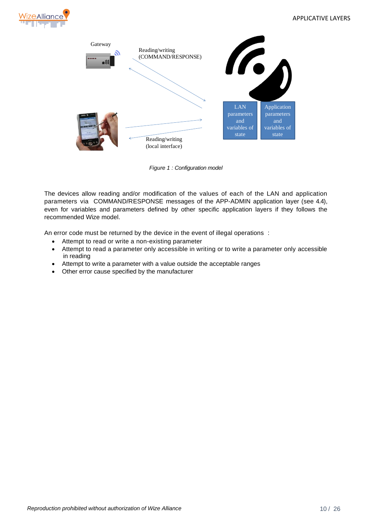



*Figure 1 : Configuration model*

<span id="page-9-0"></span>The devices allow reading and/or modification of the values of each of the LAN and application parameters via COMMAND/RESPONSE messages of the APP-ADMIN application layer (see [4.4\)](#page-11-1), even for variables and parameters defined by other specific application layers if they follows the recommended Wize model.

An error code must be returned by the device in the event of illegal operations :

- Attempt to read or write a non-existing parameter
- Attempt to read a parameter only accessible in writing or to write a parameter only accessible in reading
- Attempt to write a parameter with a value outside the acceptable ranges
- Other error cause specified by the manufacturer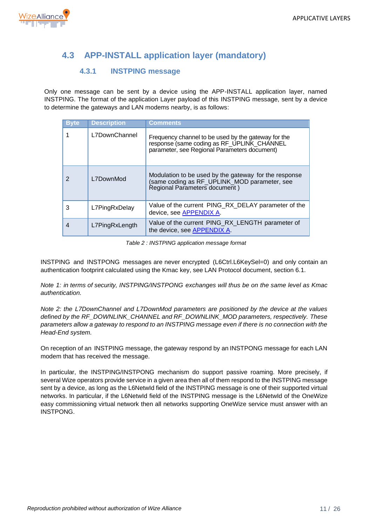

# <span id="page-10-0"></span>**4.3 APP-INSTALL application layer (mandatory)**

### **4.3.1 INSTPING message**

<span id="page-10-1"></span>Only one message can be sent by a device using the APP-INSTALL application layer, named INSTPING. The format of the application Layer payload of this INSTPING message, sent by a device to determine the gateways and LAN modems nearby, is as follows:

| <b>Byte</b> | <b>Description</b> | <b>Comments</b>                                                                                                                                   |
|-------------|--------------------|---------------------------------------------------------------------------------------------------------------------------------------------------|
|             | L7DownChannel      | Frequency channel to be used by the gateway for the<br>response (same coding as RF_UPLINK_CHANNEL<br>parameter, see Regional Parameters document) |
| 2           | L7DownMod          | Modulation to be used by the gateway for the response<br>(same coding as RF UPLINK MOD parameter, see<br>Regional Parameters document)            |
| 3           | L7PingRxDelay      | Value of the current PING_RX_DELAY parameter of the<br>device, see APPENDIX A.                                                                    |
| 4           | L7PingRxLength     | Value of the current PING_RX_LENGTH parameter of<br>the device, see APPENDIX A.                                                                   |

*Table 2 : INSTPING application message format*

<span id="page-10-2"></span>INSTPING and INSTPONG messages are never encrypted (L6Ctrl.L6KeySel=0) and only contain an authentication footprint calculated using the Kmac key, see LAN Protocol document, section 6.1.

*Note 1: in terms of security, INSTPING/INSTPONG exchanges will thus be on the same level as Kmac authentication.*

*Note 2: the L7DownChannel and L7DownMod parameters are positioned by the device at the values defined by the RF\_DOWNLINK\_CHANNEL and RF\_DOWNLINK\_MOD parameters, respectively. These parameters allow a gateway to respond to an INSTPING message even if there is no connection with the Head-End system.*

On reception of an INSTPING message, the gateway respond by an INSTPONG message for each LAN modem that has received the message.

In particular, the INSTPING/INSTPONG mechanism do support passive roaming. More precisely, if several Wize operators provide service in a given area then all of them respond to the INSTPING message sent by a device, as long as the L6NetwId field of the INSTPING message is one of their supported virtual networks. In particular, if the L6NetwId field of the INSTPING message is the L6NetwId of the OneWize easy commissioning virtual network then all networks supporting OneWize service must answer with an INSTPONG.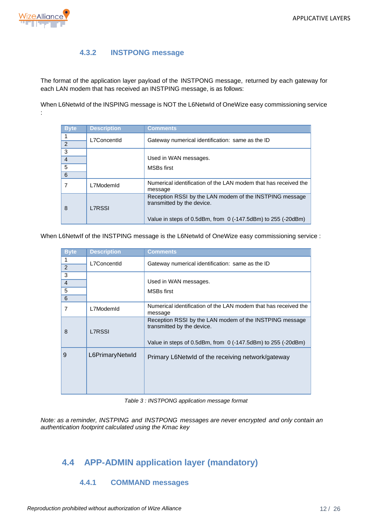

:

### **4.3.2 INSTPONG message**

<span id="page-11-0"></span>The format of the application layer payload of the INSTPONG message, returned by each gateway for each LAN modem that has received an INSTPING message, is as follows:

When L6NetwId of the INSPING message is NOT the L6NetwId of OneWize easy commissioning service

| <b>Byte</b>    | <b>Description</b> | <b>Comments</b>                                                                       |  |
|----------------|--------------------|---------------------------------------------------------------------------------------|--|
| 1              | L7ConcentId        | Gateway numerical identification: same as the ID                                      |  |
| 2              |                    |                                                                                       |  |
| 3              |                    |                                                                                       |  |
| $\overline{4}$ |                    | Used in WAN messages.                                                                 |  |
| 5              |                    | <b>MSBs first</b>                                                                     |  |
| 6              |                    |                                                                                       |  |
|                | L7ModemId          | Numerical identification of the LAN modem that has received the<br>message            |  |
| 8              | <b>L7RSSI</b>      | Reception RSSI by the LAN modem of the INSTPING message<br>transmitted by the device. |  |
|                |                    | Value in steps of 0.5dBm, from $\sigma$ (-147.5dBm) to 255 (-20dBm)                   |  |

When L6NetwIf of the INSTPING message is the L6NetwId of OneWize easy commissioning service :

| <b>Byte</b>    | <b>Description</b> | <b>Comments</b>                                                                                                                                         |
|----------------|--------------------|---------------------------------------------------------------------------------------------------------------------------------------------------------|
|                | L7ConcentId        | Gateway numerical identification: same as the ID                                                                                                        |
| 2              |                    |                                                                                                                                                         |
| 3              |                    |                                                                                                                                                         |
| $\overline{4}$ |                    | Used in WAN messages.                                                                                                                                   |
| 5              |                    | <b>MSBs first</b>                                                                                                                                       |
| 6              |                    |                                                                                                                                                         |
| 7              | L7ModemId          | Numerical identification of the LAN modem that has received the<br>message                                                                              |
| 8              | <b>L7RSSI</b>      | Reception RSSI by the LAN modem of the INSTPING message<br>transmitted by the device.<br>Value in steps of 0.5dBm, from $0$ (-147.5dBm) to 255 (-20dBm) |
| 9              | L6PrimaryNetwld    | Primary L6Netwld of the receiving network/gateway                                                                                                       |

*Table 3 : INSTPONG application message format*

<span id="page-11-3"></span>*Note: as a reminder, INSTPING and INSTPONG messages are never encrypted and only contain an authentication footprint calculated using the Kmac key*

# <span id="page-11-2"></span><span id="page-11-1"></span>**4.4 APP-ADMIN application layer (mandatory)**

#### **4.4.1 COMMAND messages**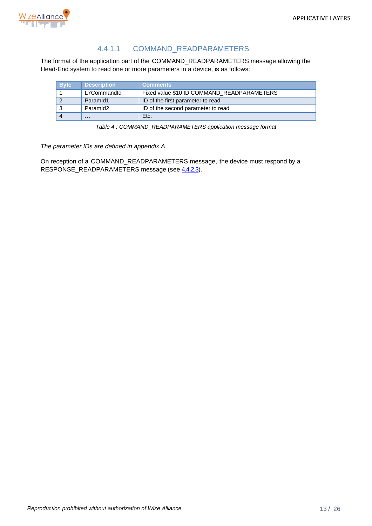

## 4.4.1.1 COMMAND\_READPARAMETERS

The format of the application part of the COMMAND\_READPARAMETERS message allowing the Head-End system to read one or more parameters in a device, is as follows:

| <b>Byte</b> | <b>Description</b> | <b>Comments</b>                            |
|-------------|--------------------|--------------------------------------------|
|             | L7CommandId        | Fixed value \$10 ID COMMAND_READPARAMETERS |
|             | ParamId1           | ID of the first parameter to read          |
|             | ParamId2           | ID of the second parameter to read         |
|             | $\cdots$           | Etc.                                       |

*Table 4 : COMMAND\_READPARAMETERS application message format*

<span id="page-12-0"></span>*The parameter IDs are defined in appendix A.*

On reception of a COMMAND\_READPARAMETERS message, the device must respond by a RESPONSE\_READPARAMETERS message (see [4.4.2.3\)](#page-17-4).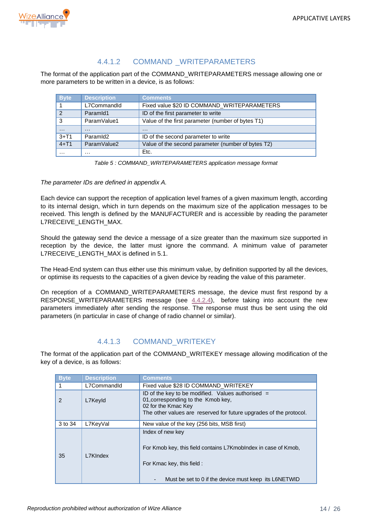

## 4.4.1.2 COMMAND WRITEPARAMETERS

The format of the application part of the COMMAND\_WRITEPARAMETERS message allowing one or more parameters to be written in a device, is as follows:

| <b>Byte</b>    | <b>Description</b> | <b>Comments</b>                                    |
|----------------|--------------------|----------------------------------------------------|
|                | L7CommandId        | Fixed value \$20 ID COMMAND_WRITEPARAMETERS        |
| $\overline{2}$ | ParamId1           | ID of the first parameter to write                 |
| 3              | ParamValue1        | Value of the first parameter (number of bytes T1)  |
| $\cdots$       | $\cdots$           | $\cdots$                                           |
| $3+T1$         | ParamId2           | ID of the second parameter to write                |
| $4+T1$         | ParamValue2        | Value of the second parameter (number of bytes T2) |
| $\cdots$       | .                  | Etc.                                               |

*Table 5 : COMMAND\_WRITEPARAMETERS application message format*

<span id="page-13-0"></span>*The parameter IDs are defined in appendix A.*

Each device can support the reception of application level frames of a given maximum length, according to its internal design, which in turn depends on the maximum size of the application messages to be received. This length is defined by the MANUFACTURER and is accessible by reading the parameter L7RECEIVE\_LENGTH\_MAX.

Should the gateway send the device a message of a size greater than the maximum size supported in reception by the device, the latter must ignore the command. A minimum value of parameter L7RECEIVE\_LENGTH\_MAX is defined in [5.1.](#page-22-1)

The Head-End system can thus either use this minimum value, by definition supported by all the devices, or optimise its requests to the capacities of a given device by reading the value of this parameter.

On reception of a COMMAND\_WRITEPARAMETERS message, the device must first respond by a RESPONSE\_WRITEPARAMETERS message (see [4.4.2.4\)](#page-18-3), before taking into account the new parameters immediately after sending the response. The response must thus be sent using the old parameters (in particular in case of change of radio channel or similar).

## 4.4.1.3 COMMAND\_WRITEKEY

The format of the application part of the COMMAND\_WRITEKEY message allowing modification of the key of a device, is as follows:

| <b>Byte</b> | <b>Description</b> | Comments                                                                                                                                                                               |  |
|-------------|--------------------|----------------------------------------------------------------------------------------------------------------------------------------------------------------------------------------|--|
|             | L7CommandId        | Fixed value \$28 ID COMMAND WRITEKEY                                                                                                                                                   |  |
| 2           | L7Keyld            | ID of the key to be modified. Values authorised $=$<br>01, corresponding to the Kmob key,<br>02 for the Kmac Key<br>The other values are reserved for future upgrades of the protocol. |  |
| 3 to 34     | L7KeyVal           | New value of the key (256 bits, MSB first)                                                                                                                                             |  |
| 35          | L7KIndex           | Index of new key<br>For Kmob key, this field contains L7Kmoblndex in case of Kmob,<br>For Kmac key, this field :<br>Must be set to 0 if the device must keep its L6NETWID              |  |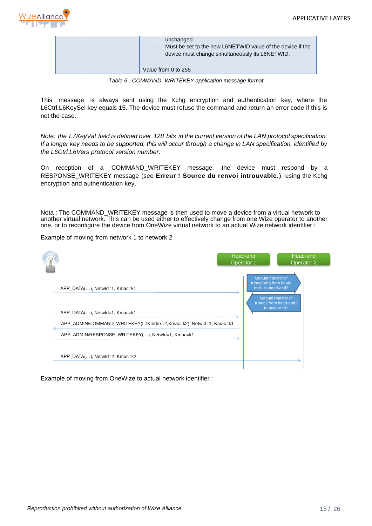

| unchanged<br>Must be set to the new L6NETWID value of the device if the<br>$\sim$<br>device must change simultaneously its L6NETWID. |
|--------------------------------------------------------------------------------------------------------------------------------------|
| Value from 0 to 255                                                                                                                  |

*Table 6 : COMMAND\_WRITEKEY application message format*

<span id="page-14-0"></span>This message is always sent using the Kchg encryption and authentication key, where the L6Ctrl.L6KeySel key equals 15. The device must refuse the command and return an error code if this is not the case.

*Note: the L7KeyVal field is defined over 128 bits in the current version of the LAN protocol specification. If a longer key needs to be supported, this will occur through a change in LAN specification, identified by the L6Ctrl.L6Vers protocol version number.*

On reception of a COMMAND\_WRITEKEY message, the device must respond by a RESPONSE\_WRITEKEY message (see **Erreur ! Source du renvoi introuvable.**), using the Kchg encryption and authentication key.

Nota : The COMMAND\_WRITEKEY message is then used to move a device from a virtual network to another virtual network. This can be used either to effectively change from one Wize operator to another one, or to reconfigure the device from OneWize virtual network to an actual Wize network identifier :

Example of moving from network 1 to network 2 :

|                                                                                                                                     | Head-end<br>Operator 1 |                                                                 | Head-end<br>Operator 2                                     |
|-------------------------------------------------------------------------------------------------------------------------------------|------------------------|-----------------------------------------------------------------|------------------------------------------------------------|
| APP_DATA(), Netwld=1, Kmac=k1<br>APP DATA(), Netwid=1, Kmac=k1<br>APP_ADMIN/COMMAND_WRITEKEY(L7KIndex=2,Kmac=k2), NetwId=1, Kmac=k1 |                        | Manual transfer of<br>Kenc/Kchg from head-<br>end1 to head-end2 | Manual transfer of<br>Kmac2 from head-end2<br>to head-end1 |
| APP ADMIN/RESPONSE WRITEKEY(), NetwId=1, Kmac=k1<br>APP DATA(), Netwld=2, Kmac=k2                                                   |                        |                                                                 |                                                            |

Example of moving from OneWize to actual network identifier :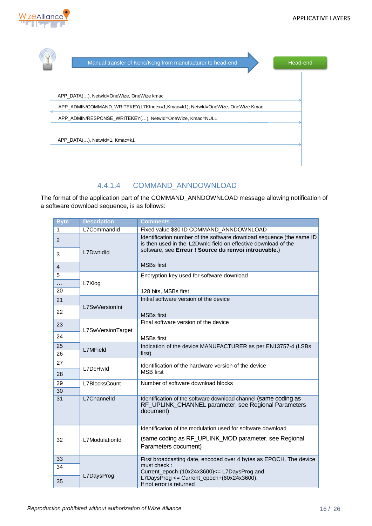

| Manual transfer of Kenc/Kchg from manufacturer to head-end                   | Head-end |
|------------------------------------------------------------------------------|----------|
|                                                                              |          |
| APP_DATA(), NetwId=OneWize, OneWize kmac                                     |          |
| APP_ADMIN/COMMAND_WRITEKEY(L7KIndex=1,Kmac=k1), NetwId=OneWize, OneWize Kmac |          |
| APP_ADMIN/RESPONSE_WRITEKEY(), NetwId=OneWize, Kmac=NULL                     |          |
| APP DATA(), Netwld=1, Kmac=k1                                                |          |
|                                                                              |          |
|                                                                              |          |

## 4.4.1.4 COMMAND\_ANNDOWNLOAD

The format of the application part of the COMMAND\_ANNDOWNLOAD message allowing notification of a software download sequence, is as follows:

| <b>Byte</b> | <b>Description</b> | <b>Comments</b>                                                                                                                        |
|-------------|--------------------|----------------------------------------------------------------------------------------------------------------------------------------|
| 1           | L7CommandId        | Fixed value \$30 ID COMMAND_ANNDOWNLOAD                                                                                                |
| 2           |                    | Identification number of the software download sequence (the same ID<br>is then used in the L2Dwnld field on effective download of the |
| 3           | L7DwnldId          | software, see Erreur ! Source du renvoi introuvable.)                                                                                  |
| 4           |                    | <b>MSBs first</b>                                                                                                                      |
| 5           |                    | Encryption key used for software download                                                                                              |
| .<br>20     | L7Klog             |                                                                                                                                        |
|             |                    | 128 bits, MSBs first                                                                                                                   |
| 21          | L7SwVersionIni     | Initial software version of the device                                                                                                 |
| 22          |                    | <b>MSBs</b> first                                                                                                                      |
| 23          |                    | Final software version of the device                                                                                                   |
| 24          | L7SwVersionTarget  | <b>MSBs</b> first                                                                                                                      |
| 25          |                    | Indication of the device MANUFACTURER as per EN13757-4 (LSBs                                                                           |
| 26          | <b>L7MField</b>    | first)                                                                                                                                 |
| 27          |                    | Identification of the hardware version of the device                                                                                   |
| 28          | L7DcHwld           | <b>MSB</b> first                                                                                                                       |
| 29          | L7BlocksCount      | Number of software download blocks                                                                                                     |
| 30          |                    |                                                                                                                                        |
| 31          | L7Channelld        | Identification of the software download channel (same coding as<br>RF_UPLINK_CHANNEL parameter, see Regional Parameters<br>document)   |
|             |                    | Identification of the modulation used for software download                                                                            |
| 32          | L7ModulationId     | (same coding as RF_UPLINK_MOD parameter, see Regional<br>Parameters document)                                                          |
| 33          |                    | First broadcasting date, encoded over 4 bytes as EPOCH. The device                                                                     |
| 34          |                    | must check:<br>Current_epoch-(10x24x3600) <= L7DaysProg and                                                                            |
| 35          | L7DaysProg         | $L7$ DaysProg <= Current_epoch+ $(60x24x3600)$ .<br>If not error is returned                                                           |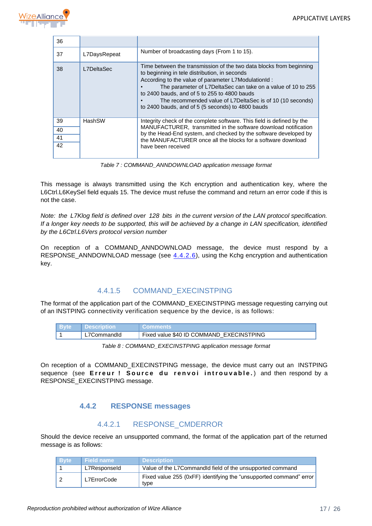

| 36 |              |                                                                                                                                                                                                                                                                                                                                                                                                               |
|----|--------------|---------------------------------------------------------------------------------------------------------------------------------------------------------------------------------------------------------------------------------------------------------------------------------------------------------------------------------------------------------------------------------------------------------------|
| 37 | L7DaysRepeat | Number of broadcasting days (From 1 to 15).                                                                                                                                                                                                                                                                                                                                                                   |
| 38 | L7DeltaSec   | Time between the transmission of the two data blocks from beginning<br>to beginning in tele distribution, in seconds<br>According to the value of parameter L7ModulationId:<br>The parameter of L7DeltaSec can take on a value of 10 to 255<br>to 2400 bauds, and of 5 to 255 to 4800 bauds<br>The recommended value of L7DeltaSec is of 10 (10 seconds)<br>to 2400 bauds, and of 5 (5 seconds) to 4800 bauds |
| 39 | HashSW       | Integrity check of the complete software. This field is defined by the                                                                                                                                                                                                                                                                                                                                        |
| 40 |              | MANUFACTURER, transmitted in the software download notification<br>by the Head-End system, and checked by the software developed by                                                                                                                                                                                                                                                                           |
| 41 |              | the MANUFACTURER once all the blocks for a software download                                                                                                                                                                                                                                                                                                                                                  |
| 42 |              | have been received                                                                                                                                                                                                                                                                                                                                                                                            |

*Table 7 : COMMAND\_ANNDOWNLOAD application message format*

<span id="page-16-1"></span>This message is always transmitted using the Kch encryption and authentication key, where the L6Ctrl.L6KeySel field equals 15. The device must refuse the command and return an error code if this is not the case.

*Note: the L7Klog field is defined over 128 bits in the current version of the LAN protocol specification. If a longer key needs to be supported, this will be achieved by a change in LAN specification, identified by the L6Ctrl.L6Vers protocol version number*

On reception of a COMMAND\_ANNDOWNLOAD message, the device must respond by a RESPONSE\_ANNDOWNLOAD message (see [4.4.2.6\)](#page-19-3), using the Kchg encryption and authentication key.

### 4.4.1.5 COMMAND\_EXECINSTPING

The format of the application part of the COMMAND\_EXECINSTPING message requesting carrying out of an INSTPING connectivity verification sequence by the device, is as follows:

| <b>Byte</b> | <b>⊩ Description</b> | <b>⊑Comments</b> ∈                       |
|-------------|----------------------|------------------------------------------|
|             | L7CommandId          | Fixed value \$40 ID COMMAND EXECINSTPING |

*Table 8 : COMMAND\_EXECINSTPING application message format*

<span id="page-16-2"></span>On reception of a COMMAND\_EXECINSTPING message, the device must carry out an INSTPING sequence (see **Erreur! Source du renvoi introuvable.**) and then respond by a RESPONSE\_EXECINSTPING message.

#### **4.4.2 RESPONSE messages**

### 4.4.2.1 RESPONSE\_CMDERROR

<span id="page-16-0"></span>Should the device receive an unsupported command, the format of the application part of the returned message is as follows:

| <b>Byte</b> | <b>Field name</b> | <b>Description</b>                                                         |
|-------------|-------------------|----------------------------------------------------------------------------|
|             | L7Responseld      | Value of the L7CommandId field of the unsupported command                  |
|             | L7ErrorCode       | Fixed value 255 (0xFF) identifying the "unsupported command" error<br>type |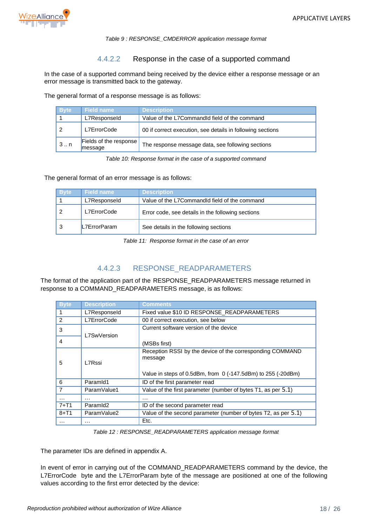

#### *Table 9 : RESPONSE\_CMDERROR application message format*

#### 4.4.2.2 Response in the case of a supported command

<span id="page-17-0"></span>In the case of a supported command being received by the device either a response message or an error message is transmitted back to the gateway.

The general format of a response message is as follows:

| <b>Byte</b> | <b>Field name</b>                 | <b>Description</b>                                         |
|-------------|-----------------------------------|------------------------------------------------------------|
|             | L7Responseld                      | Value of the L7CommandId field of the command              |
|             | L7ErrorCode                       | 00 if correct execution, see details in following sections |
| $3 \dots n$ | Fields of the response<br>message | The response message data, see following sections          |

*Table 10: Response format in the case of a supported command*

<span id="page-17-1"></span>The general format of an error message is as follows:

| <b>Byte</b> | <b>Field name</b> | <b>Description</b>                                |
|-------------|-------------------|---------------------------------------------------|
|             | L7Responseld      | Value of the L7CommandId field of the command     |
|             | L7ErrorCode       | Error code, see details in the following sections |
|             | L7ErrorParam      | See details in the following sections             |

*Table 11: Response format in the case of an error*

### 4.4.2.3 RESPONSE\_READPARAMETERS

<span id="page-17-4"></span><span id="page-17-2"></span>The format of the application part of the RESPONSE\_READPARAMETERS message returned in response to a COMMAND\_READPARAMETERS message, is as follows:

| <b>Byte</b>    | <b>Description</b>   | Comments                                                                                                                             |
|----------------|----------------------|--------------------------------------------------------------------------------------------------------------------------------------|
|                | L7Responseld         | Fixed value \$10 ID RESPONSE READPARAMETERS                                                                                          |
| 2              | L7ErrorCode          | 00 if correct execution, see below                                                                                                   |
| 3              | L7SwVersion          | Current software version of the device                                                                                               |
| 4              |                      | (MSBs first)                                                                                                                         |
| 5              | L7Rssi               | Reception RSSI by the device of the corresponding COMMAND<br>message<br>Value in steps of 0.5dBm, from 0 (-147.5dBm) to 255 (-20dBm) |
| 6              | Paramid1             | ID of the first parameter read                                                                                                       |
| $\overline{7}$ | ParamValue1          | Value of the first parameter (number of bytes T1, as per 5.1)                                                                        |
| .              | $\cdots$             | $\cdots$                                                                                                                             |
| $7 + T1$       | Paramid <sub>2</sub> | ID of the second parameter read                                                                                                      |
| $8 + T1$       | ParamValue2          | Value of the second parameter (number of bytes T2, as per 5.1)                                                                       |
|                | .                    | Etc.                                                                                                                                 |

*Table 12 : RESPONSE\_READPARAMETERS application message format*

<span id="page-17-3"></span>The parameter IDs are defined in appendix A.

In event of error in carrying out of the COMMAND\_READPARAMETERS command by the device, the L7ErrorCode byte and the L7ErrorParam byte of the message are positioned at one of the following values according to the first error detected by the device: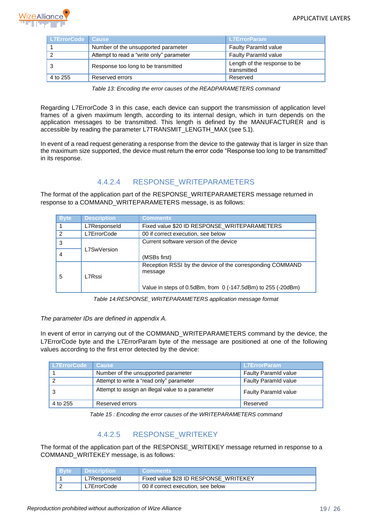

| L7ErrorCode Cause |                                          | <b>L7ErrorParam</b>                         |
|-------------------|------------------------------------------|---------------------------------------------|
|                   | Number of the unsupported parameter      | <b>Faulty Paramid value</b>                 |
|                   | Attempt to read a "write only" parameter | <b>Faulty Paramid value</b>                 |
|                   | Response too long to be transmitted      | Length of the response to be<br>transmitted |
| 4 to 255          | Reserved errors                          | Reserved                                    |

*Table 13: Encoding the error causes of the READPARAMETERS command*

<span id="page-18-0"></span>Regarding L7ErrorCode 3 in this case, each device can support the transmission of application level frames of a given maximum length, according to its internal design, which in turn depends on the application messages to be transmitted. This length is defined by the MANUFACTURER and is accessible by reading the parameter L7TRANSMIT\_LENGTH\_MAX (see [5.1\)](#page-22-1).

In event of a read request generating a response from the device to the gateway that is larger in size than the maximum size supported, the device must return the error code "Response too long to be transmitted" in its response.

## 4.4.2.4 RESPONSE\_WRITEPARAMETERS

<span id="page-18-3"></span>The format of the application part of the RESPONSE\_WRITEPARAMETERS message returned in response to a COMMAND\_WRITEPARAMETERS message, is as follows:

| <b>Byte</b>   | <b>Description</b> | <b>Comments</b>                                                                                                                           |
|---------------|--------------------|-------------------------------------------------------------------------------------------------------------------------------------------|
|               | L7Responseld       | Fixed value \$20 ID RESPONSE WRITEPARAMETERS                                                                                              |
| $\mathcal{P}$ | L7ErrorCode        | 00 if correct execution, see below                                                                                                        |
| 3             |                    | Current software version of the device                                                                                                    |
|               | L7SwVersion        | (MSBs first)                                                                                                                              |
| 5             | L7Rssi             | Reception RSSI by the device of the corresponding COMMAND<br>message<br>Value in steps of $0.5$ dBm, from $0$ (-147.5dBm) to 255 (-20dBm) |

*Table 14:RESPONSE\_WRITEPARAMETERS application message format*

#### <span id="page-18-1"></span>*The parameter IDs are defined in appendix A.*

In event of error in carrying out of the COMMAND\_WRITEPARAMETERS command by the device, the L7ErrorCode byte and the L7ErrorParam byte of the message are positioned at one of the following values according to the first error detected by the device:

| l L7ErrorCode | <b>Cause</b>                                      | <b>L7ErrorParam</b>         |
|---------------|---------------------------------------------------|-----------------------------|
|               | Number of the unsupported parameter               | <b>Faulty Paramid value</b> |
|               | Attempt to write a "read only" parameter          | <b>Faulty Paramid value</b> |
|               | Attempt to assign an illegal value to a parameter | <b>Faulty Paramid value</b> |
| 4 to 255      | Reserved errors                                   | Reserved                    |

*Table 15 : Encoding the error causes of the WRITEPARAMETERS command*

## 4.4.2.5 RESPONSE\_WRITEKEY

<span id="page-18-2"></span>The format of the application part of the RESPONSE\_WRITEKEY message returned in response to a COMMAND\_WRITEKEY message, is as follows:

| <b>Byte</b> | ∣ Description | <b>Comments</b>                       |
|-------------|---------------|---------------------------------------|
|             | L7Responseld  | Fixed value \$28 ID RESPONSE WRITEKEY |
|             | L7ErrorCode   | 00 if correct execution, see below    |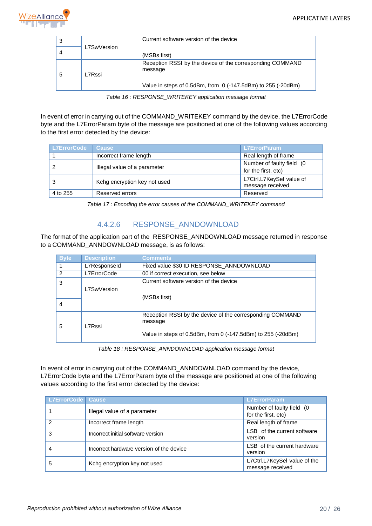

|   |             | Current software version of the device                                                                                               |
|---|-------------|--------------------------------------------------------------------------------------------------------------------------------------|
|   | L7SwVersion | (MSBs first)                                                                                                                         |
| 5 | L7Rssi      | Reception RSSI by the device of the corresponding COMMAND<br>message<br>Value in steps of 0.5dBm, from 0 (-147.5dBm) to 255 (-20dBm) |

*Table 16 : RESPONSE\_WRITEKEY application message format*

<span id="page-19-0"></span>In event of error in carrying out of the COMMAND\_WRITEKEY command by the device, the L7ErrorCode byte and the L7ErrorParam byte of the message are positioned at one of the following values according to the first error detected by the device:

| L7ErrorCode | <b>Cause</b>                 | <b>L7ErrorParam</b>                              |
|-------------|------------------------------|--------------------------------------------------|
|             | Incorrect frame length       | Real length of frame                             |
| 2           | Illegal value of a parameter | Number of faulty field (0<br>for the first, etc) |
| 3           | Kchg encryption key not used | L7Ctrl.L7KeySel value of<br>message received     |
| 4 to 255    | Reserved errors              | Reserved                                         |

*Table 17 : Encoding the error causes of the COMMAND\_WRITEKEY command*

## 4.4.2.6 RESPONSE\_ANNDOWNLOAD

<span id="page-19-3"></span><span id="page-19-1"></span>The format of the application part of the RESPONSE\_ANNDOWNLOAD message returned in response to a COMMAND\_ANNDOWNLOAD message, is as follows:

| <b>Byte</b>   | <b>Description</b> | <b>Comments</b>                                                         |  |  |  |  |  |  |
|---------------|--------------------|-------------------------------------------------------------------------|--|--|--|--|--|--|
|               | L7Responseld       | Fixed value \$30 ID RESPONSE ANNDOWNLOAD                                |  |  |  |  |  |  |
| $\mathcal{P}$ | L7ErrorCode        | 00 if correct execution, see below                                      |  |  |  |  |  |  |
| 3             |                    | Current software version of the device                                  |  |  |  |  |  |  |
|               | L7SwVersion        |                                                                         |  |  |  |  |  |  |
|               |                    | (MSBs first)                                                            |  |  |  |  |  |  |
| 4             |                    |                                                                         |  |  |  |  |  |  |
| 5             | ∣7Rssi             | Reception RSSI by the device of the corresponding COMMAND<br>message    |  |  |  |  |  |  |
|               |                    | Value in steps of $0.5$ dBm, from 0 $(-147.5$ dBm) to $255$ $(-20$ dBm) |  |  |  |  |  |  |

*Table 18 : RESPONSE\_ANNDOWNLOAD application message format*

<span id="page-19-2"></span>In event of error in carrying out of the COMMAND\_ANNDOWNLOAD command by the device, L7ErrorCode byte and the L7ErrorParam byte of the message are positioned at one of the following values according to the first error detected by the device:

| <b>L7ErrorCode Cause</b> |                                          | <b>L7ErrorParam</b>                              |
|--------------------------|------------------------------------------|--------------------------------------------------|
|                          | Illegal value of a parameter             | Number of faulty field (0<br>for the first, etc) |
| 2                        | Incorrect frame length                   | Real length of frame                             |
| 3                        | Incorrect initial software version       | LSB of the current software<br>version           |
|                          | Incorrect hardware version of the device | LSB of the current hardware<br>version           |
| 5                        | Kchg encryption key not used             | L7Ctrl.L7KeySel value of the<br>message received |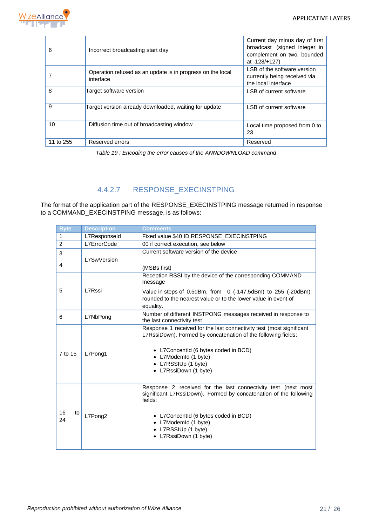

| 6         | Incorrect broadcasting start day                                        | Current day minus day of first<br>broadcast (signed integer in<br>complement on two, bounded<br>at -128/+127) |
|-----------|-------------------------------------------------------------------------|---------------------------------------------------------------------------------------------------------------|
|           | Operation refused as an update is in progress on the local<br>interface | LSB of the software version<br>currently being received via<br>the local interface                            |
| 8         | Target software version                                                 | LSB of current software                                                                                       |
| 9         | Target version already downloaded, waiting for update                   | LSB of current software                                                                                       |
| 10        | Diffusion time out of broadcasting window                               | Local time proposed from 0 to<br>23                                                                           |
| 11 to 255 | Reserved errors                                                         | Reserved                                                                                                      |

*Table 19 : Encoding the error causes of the ANNDOWNLOAD command*

## 4.4.2.7 RESPONSE\_EXECINSTPING

<span id="page-20-0"></span>The format of the application part of the RESPONSE\_EXECINSTPING message returned in response to a COMMAND\_EXECINSTPING message, is as follows:

| <b>Byte</b>                                 | <b>Description</b><br>Comments |                                                                                                                                                                                                                                                               |  |  |  |  |  |
|---------------------------------------------|--------------------------------|---------------------------------------------------------------------------------------------------------------------------------------------------------------------------------------------------------------------------------------------------------------|--|--|--|--|--|
| $\mathbf{1}$                                | L7Responseld                   | Fixed value \$40 ID RESPONSE EXECINSTPING                                                                                                                                                                                                                     |  |  |  |  |  |
| $\overline{2}$                              | L7ErrorCode                    | 00 if correct execution, see below                                                                                                                                                                                                                            |  |  |  |  |  |
| 3                                           |                                | Current software version of the device                                                                                                                                                                                                                        |  |  |  |  |  |
| 4                                           | L7SwVersion                    | (MSBs first)                                                                                                                                                                                                                                                  |  |  |  |  |  |
| 5                                           | L7Rssi                         | Reception RSSI by the device of the corresponding COMMAND<br>message<br>Value in steps of $0.5$ dBm, from $0$ (-147.5dBm) to 255 (-20dBm),<br>rounded to the nearest value or to the lower value in event of<br>equality.                                     |  |  |  |  |  |
| L7NbPong<br>6<br>the last connectivity test |                                | Number of different INSTPONG messages received in response to                                                                                                                                                                                                 |  |  |  |  |  |
| 7 to 15                                     | L7Pong1                        | Response 1 received for the last connectivity test (most significant<br>L7RssiDown). Formed by concatenation of the following fields:<br>• L7ConcentId (6 bytes coded in BCD)<br>• L7ModemId (1 byte)<br>• L7RSSIUp (1 byte)<br>• L7RssiDown (1 byte)         |  |  |  |  |  |
| 16<br>to<br>24                              | L7Pong2                        | Response 2 received for the last connectivity test (next most<br>significant L7RssiDown). Formed by concatenation of the following<br>fields:<br>• L7ConcentId (6 bytes coded in BCD)<br>• L7ModemId (1 byte)<br>• L7RSSIUp (1 byte)<br>• L7RssiDown (1 byte) |  |  |  |  |  |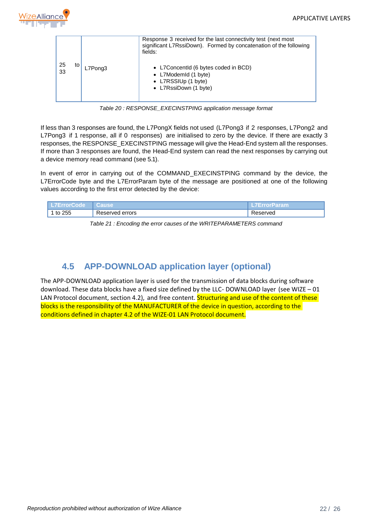

|                 |         | Response 3 received for the last connectivity test (next most)<br>significant L7RssiDown). Formed by concatenation of the following<br>fields: |
|-----------------|---------|------------------------------------------------------------------------------------------------------------------------------------------------|
| -25<br>to<br>33 | L7Pong3 | • L7Concentld (6 bytes coded in BCD)<br>• L7ModemId (1 byte)<br>• L7RSSIUp (1 byte)<br>• L7RssiDown (1 byte)                                   |

*Table 20 : RESPONSE\_EXECINSTPING application message format*

<span id="page-21-1"></span>If less than 3 responses are found, the L7PongX fields not used (L7Pong3 if 2 responses, L7Pong2 and L7Pong3 if 1 response, all if 0 responses) are initialised to zero by the device. If there are exactly 3 responses, the RESPONSE\_EXECINSTPING message will give the Head-End system all the responses. If more than 3 responses are found, the Head-End system can read the next responses by carrying out a device memory read command (see [5.1\)](#page-22-1).

In event of error in carrying out of the COMMAND\_EXECINSTPING command by the device, the L7ErrorCode byte and the L7ErrorParam byte of the message are positioned at one of the following values according to the first error detected by the device:

<span id="page-21-2"></span>

| zerrorGooez          | white              | Param<br>--- |
|----------------------|--------------------|--------------|
| つにに<br><br>تالك<br>ື | errors<br>रeserved | erveo        |

*Table 21 : Encoding the error causes of the WRITEPARAMETERS command*

## **4.5 APP-DOWNLOAD application layer (optional)**

<span id="page-21-0"></span>The APP-DOWNLOAD application layer is used for the transmission of data blocks during software download. These data blocks have a fixed size defined by the LLC- DOWNLOAD layer (see WIZE – 01 LAN Protocol document, section 4.2), and free content. Structuring and use of the content of these blocks is the responsibility of the MANUFACTURER of the device in question, according to the conditions defined in chapter 4.2 of the WIZE-01 LAN Protocol document.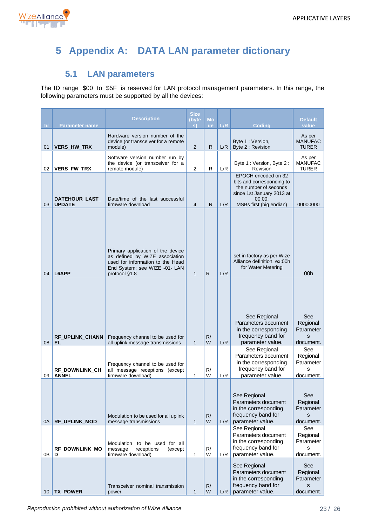

# <span id="page-22-0"></span>**5 Appendix A: DATA LAN parameter dictionary**

# **5.1 LAN parameters**

<span id="page-22-1"></span>The ID range \$00 to \$5F is reserved for LAN protocol management parameters. In this range, the following parameters must be supported by all the devices:

| $\mathsf{Id}$ | <b>Parameter name</b>                  | <b>Description</b>                                                                                                                                        | <b>Size</b><br>(byte<br>s) | Mo<br>de           | L/R        | <b>Coding</b>                                                                                                                                                                              | <b>Default</b><br>value                                                             |
|---------------|----------------------------------------|-----------------------------------------------------------------------------------------------------------------------------------------------------------|----------------------------|--------------------|------------|--------------------------------------------------------------------------------------------------------------------------------------------------------------------------------------------|-------------------------------------------------------------------------------------|
| 01            | <b>VERS_HW_TRX</b>                     | Hardware version number of the<br>device (or transceiver for a remote<br>module)                                                                          | $\overline{2}$             | R.                 | L/R        | Byte 1: Version,<br>Byte 2 : Revision                                                                                                                                                      | As per<br><b>MANUFAC</b><br><b>TURER</b>                                            |
| 02            | <b>VERS_FW_TRX</b>                     | Software version number run by<br>the device (or transceiver for a<br>remote module)                                                                      | $\mathbf{2}$               | R                  | L/R        | Byte 1 : Version, Byte 2 :<br>Revision                                                                                                                                                     | As per<br><b>MANUFAC</b><br><b>TURER</b>                                            |
| 03            | DATEHOUR_LAST_<br><b>UPDATE</b>        | Date/time of the last successful<br>firmware download                                                                                                     | $\overline{4}$             | R.                 | L/R        | EPOCH encoded on 32<br>bits and corresponding to<br>the number of seconds<br>since 1st January 2013 at<br>00:00:<br>MSBs first (big endian)                                                | 00000000                                                                            |
| 04            | L6APP                                  | Primary application of the device<br>as defined by WIZE association<br>used for information to the Head<br>End System; see WIZE -01- LAN<br>protocol §1.8 | $\mathbf{1}$               | $\mathsf{R}$       | L/R        | set in factory as per Wize<br>Alliance definition, ex:00h<br>for Water Metering                                                                                                            | 00h                                                                                 |
| 08            | RF_UPLINK_CHANN<br>EL.                 | Frequency channel to be used for<br>all uplink message transmissions                                                                                      | $\mathbf{1}$               | R/<br>W            | L/R        | See Regional<br>Parameters document<br>in the corresponding<br>frequency band for<br>parameter value.                                                                                      | See<br>Regional<br>Parameter<br>S<br>document.                                      |
| 09            | RF_DOWNLINK_CH<br><b>ANNEL</b>         | Frequency channel to be used for<br>all message receptions (except<br>firmware download)                                                                  | 1                          | R/<br>W            | L/R        | See Regional<br>Parameters document<br>in the corresponding<br>frequency band for<br>parameter value.                                                                                      | See<br>Regional<br>Parameter<br>s<br>document.                                      |
| 0A            | <b>RF_UPLINK_MOD</b>                   | Modulation to be used for all uplink<br>message transmissions<br>Modulation to be used for all                                                            | 1                          | R/<br>W            | L/R        | See Regional<br>Parameters document<br>in the corresponding<br>frequency band for<br>parameter value.<br>See Regional<br>Parameters document<br>in the corresponding<br>frequency band for | See<br>Regional<br>Parameter<br>s<br>document.<br>See<br>Regional<br>Parameter<br>s |
| 0В<br>10      | RF DOWNLINK MO<br>D<br><b>TX_POWER</b> | receptions<br>message<br>(except<br>firmware download)<br>Transceiver nominal transmission<br>power                                                       | 1<br>$\mathbf{1}$          | R/<br>W<br>R/<br>W | L/R<br>L/R | parameter value.<br>See Regional<br>Parameters document<br>in the corresponding<br>frequency band for<br>parameter value.                                                                  | document.<br>See<br>Regional<br>Parameter<br>S<br>document.                         |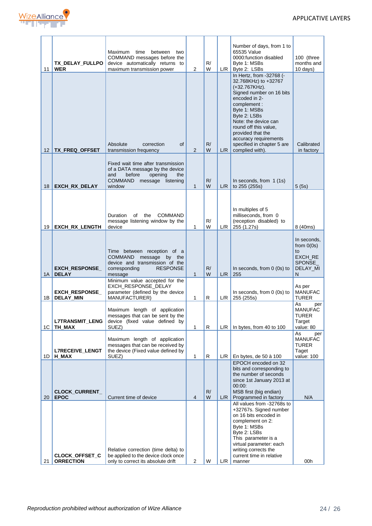

| 11              | TX_DELAY_FULLPO<br><b>WER</b>             | Maximum<br>time<br>between<br>two<br>COMMAND messages before the<br>device automatically returns to<br>maximum transmission power                                        | 2              | R/<br>W | L/R   | Number of days, from 1 to<br>65535 Value<br>0000:function disabled<br>Byte 1: MSBs<br>Byte 2: LSBs                                                                                                                                                                                         | 100 (three<br>months and<br>10 days)                                           |
|-----------------|-------------------------------------------|--------------------------------------------------------------------------------------------------------------------------------------------------------------------------|----------------|---------|-------|--------------------------------------------------------------------------------------------------------------------------------------------------------------------------------------------------------------------------------------------------------------------------------------------|--------------------------------------------------------------------------------|
|                 |                                           | Absolute<br>correction<br><b>of</b>                                                                                                                                      |                | R/      |       | In Hertz, from -32768 (-<br>32.768KHz) to +32767<br>(+32.767KHz).<br>Signed number on 16 bits<br>encoded in 2-<br>complement:<br>Byte 1: MSBs<br>Byte 2: LSBs<br>Note: the device can<br>round off this value,<br>provided that the<br>accuracy requirements<br>specified in chapter 5 are | Calibrated                                                                     |
| 12 I            | TX_FREQ_OFFSET                            | transmission frequency                                                                                                                                                   | $\overline{2}$ | W       | L/R   | complied with).                                                                                                                                                                                                                                                                            | in factory                                                                     |
| 18              | EXCH_RX_DELAY                             | Fixed wait time after transmission<br>of a DATA message by the device<br>and<br>before<br>opening<br>the<br><b>COMMAND</b><br>message<br>listening<br>window             | $\mathbf{1}$   | R/<br>W | L/R   | In seconds, from $1(1s)$<br>to 255 (255s)                                                                                                                                                                                                                                                  | 5(5s)                                                                          |
| 19              | <b>EXCH_RX_LENGTH</b>                     | <b>COMMAND</b><br>Duration<br>of<br>the<br>message listening window by the<br>device                                                                                     | 1              | R/<br>W | L/R   | In multiples of 5<br>milliseconds, from 0<br>(reception disabled) to<br>255 (1.27s)                                                                                                                                                                                                        | 8 (40ms)                                                                       |
|                 |                                           |                                                                                                                                                                          |                |         |       |                                                                                                                                                                                                                                                                                            |                                                                                |
| 1A              | <b>EXCH_RESPONSE_</b><br><b>DELAY</b>     | Time between reception of a<br>COMMAND message by the<br>device and transmission of the<br><b>RESPONSE</b><br>corresponding<br>message<br>Minimum value accepted for the | 1              | R/<br>W | L/R   | In seconds, from $0$ (0s) to<br>255                                                                                                                                                                                                                                                        | In seconds,<br>from $0(0s)$<br>to<br>EXCH RE<br><b>SPONSE</b><br>DELAY_MI<br>N |
|                 | <b>EXCH RESPONSE</b>                      | EXCH RESPONSE DELAY<br>parameter (defined by the device                                                                                                                  |                |         |       | In seconds, from 0 (0s) to                                                                                                                                                                                                                                                                 | As per<br><b>MANUFAC</b>                                                       |
| 1B              | <b>DELAY_MIN</b>                          | MANUFACTURER)                                                                                                                                                            | 1              | R       | L/R   | 255 (255s)                                                                                                                                                                                                                                                                                 | TURER<br>As<br>per                                                             |
| 1C <sub>1</sub> | <b>L7TRANSMIT LENG</b><br>TH MAX          | Maximum length of application<br>messages that can be sent by the<br>device (fixed value defined by<br>SUEZ)                                                             | 1              | R       | $L/R$ | In bytes, from 40 to 100                                                                                                                                                                                                                                                                   | <b>MANUFAC</b><br>TURER<br>Target<br>value: 80                                 |
| 1D I            | <b>L7RECEIVE_LENGT</b><br>H_MAX           | Maximum length of application<br>messages that can be received by<br>the device (Fixed value defined by<br>SUEZ)                                                         | 1              | R       | L/R   | En bytes, de 50 à 100                                                                                                                                                                                                                                                                      | As<br>per<br><b>MANUFAC</b><br><b>TURER</b><br>Taget<br>value: 100             |
| 20              | <b>CLOCK_CURRENT_</b><br><b>EPOC</b>      | Current time of device                                                                                                                                                   | 4              | R/<br>W | L/R   | EPOCH encoded on 32<br>bits and corresponding to<br>the number of seconds<br>since 1st January 2013 at<br>00:00:<br>MSB first (big endian)<br>Programmed in factory                                                                                                                        | N/A                                                                            |
|                 |                                           |                                                                                                                                                                          |                |         |       | All values from -32768s to                                                                                                                                                                                                                                                                 |                                                                                |
| 21              | <b>CLOCK_OFFSET_C</b><br><b>ORRECTION</b> | Relative correction (time delta) to<br>be applied to the device clock once<br>only to correct its absolute drift                                                         | 2              | W       | L/R   | +32767s. Signed number<br>on 16 bits encoded in<br>complement on 2:<br>Byte 1: MSBs<br>Byte 2: LSBs<br>This parameter is a<br>virtual parameter: each<br>writing corrects the<br>current time in relative<br>manner                                                                        | 00h                                                                            |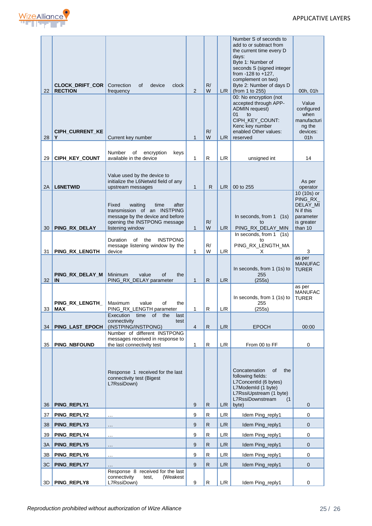

| 22       | <b>CLOCK_DRIFT_COR</b><br><b>RECTION</b> | Correction<br>οf<br>device<br>clock<br>frequency                                                                                                                              | 2                 | R/<br>W      | L/R        | Number S of seconds to<br>add to or subtract from<br>the current time every D<br>days:<br>Byte 1: Number of<br>seconds S (signed integer<br>from -128 to +127,<br>complement on two)<br>Byte 2: Number of days D<br>(from 1 to 255)<br>00: No encryption (not<br>accepted through APP-<br><b>ADMIN</b> request)<br>01<br>to<br>CIPH KEY COUNT:<br>Kenc key number | 00h, 01h<br>Value<br>configured<br>when<br>manufacturi<br>ng the                                   |
|----------|------------------------------------------|-------------------------------------------------------------------------------------------------------------------------------------------------------------------------------|-------------------|--------------|------------|-------------------------------------------------------------------------------------------------------------------------------------------------------------------------------------------------------------------------------------------------------------------------------------------------------------------------------------------------------------------|----------------------------------------------------------------------------------------------------|
| 28       | <b>CIPH_CURRENT_KE</b><br>Y              | Current key number                                                                                                                                                            | $\mathbf{1}$      | R/<br>W      | L/R        | enabled Other values:<br>reserved                                                                                                                                                                                                                                                                                                                                 | devices:<br>01h                                                                                    |
| 29       | CIPH KEY COUNT                           | encryption<br>Number<br>of<br>keys<br>available in the device                                                                                                                 | 1                 | R            | L/R        | unsigned int                                                                                                                                                                                                                                                                                                                                                      | 14                                                                                                 |
|          |                                          | Value used by the device to<br>initialize the L6Netwld field of any                                                                                                           |                   | R            |            |                                                                                                                                                                                                                                                                                                                                                                   | As per                                                                                             |
| 2A<br>30 | <b>L6NETWID</b><br>PING_RX_DELAY         | upstream messages<br>waiting<br>Fixed<br>time<br>after<br>transmission of an INSTPING<br>message by the device and before<br>opening the INSTPONG message<br>listening window | 1<br>$\mathbf{1}$ | R/<br>W      | L/R<br>L/R | 00 to 255<br>In seconds, from 1 (1s)<br>t٥<br>PING_RX_DELAY_MIN                                                                                                                                                                                                                                                                                                   | operator<br>10 (10s) or<br>PING_RX_<br>DELAY_MI<br>N if this<br>parameter<br>is greater<br>than 10 |
| 31       | PING_RX_LENGTH                           | <b>INSTPONG</b><br>Duration<br>of<br>the<br>message listening window by the<br>device                                                                                         | 1                 | R/<br>W      | L/R        | In seconds, from 1 (1s)<br>to<br>PING_RX_LENGTH_MA<br>X                                                                                                                                                                                                                                                                                                           | 3                                                                                                  |
| 32       | PING_RX_DELAY_M<br>IN                    | Minimum<br>value<br>οf<br>the<br>PING_RX_DELAY parameter                                                                                                                      | 1                 | $\mathsf{R}$ | L/R        | In seconds, from 1 (1s) to<br>255<br>(255s)                                                                                                                                                                                                                                                                                                                       | as per<br><b>MANUFAC</b><br><b>TURER</b>                                                           |
| 33       | PING_RX_LENGTH_<br><b>MAX</b>            | Maximum<br>value<br>of<br>the<br>PING_RX_LENGTH parameter                                                                                                                     | 1                 | R            | L/R        | In seconds, from 1 (1s) to<br>255<br>(255s)                                                                                                                                                                                                                                                                                                                       | as per<br><b>MANUFAC</b><br><b>TURER</b>                                                           |
| 34       | <b>PING LAST EPOCH</b>                   | Execution<br>time<br>οf<br>the<br>last<br>connectivity<br>test<br>(INSTPING/INSTPONG)                                                                                         | $\overline{4}$    | $\mathsf{R}$ | L/R        | <b>EPOCH</b>                                                                                                                                                                                                                                                                                                                                                      | 00:00                                                                                              |
| 35       | PING_NBFOUND                             | Number of different INSTPONG<br>messages received in response to<br>the last connectivity test                                                                                | 1                 | R            | L/R        | From 00 to FF                                                                                                                                                                                                                                                                                                                                                     | 0                                                                                                  |
| 36       | PING_REPLY1                              | Response 1 received for the last<br>connectivity test (Bigest<br>L7RssiDown)                                                                                                  | 9                 | R            | L/R        | Concatenation<br>of<br>the<br>following fields:<br>L7ConcentId (6 bytes)<br>L7ModemId (1 byte)<br>L7RssiUpstream (1 byte)<br>L7RssiDownstream<br>(1)<br>byte)                                                                                                                                                                                                     | 0                                                                                                  |
| 37       | PING_REPLY2                              | $\ddotsc$                                                                                                                                                                     | 9                 | R            | L/R        | Idem Ping_reply1                                                                                                                                                                                                                                                                                                                                                  | $\mathbf 0$                                                                                        |
| 38       | PING_REPLY3                              | $\sim$ $\sim$                                                                                                                                                                 | $9\,$             | R            | L/R        | Idem Ping_reply1                                                                                                                                                                                                                                                                                                                                                  | $\mathbf 0$                                                                                        |
| 39       | PING_REPLY4                              | $\ddotsc$                                                                                                                                                                     | 9                 | R            | L/R        | Idem Ping_reply1                                                                                                                                                                                                                                                                                                                                                  | 0                                                                                                  |
| 3A       | PING_REPLY5                              | $\ldots$                                                                                                                                                                      | 9                 | R.           | L/R        | Idem Ping_reply1                                                                                                                                                                                                                                                                                                                                                  | $\mathbf{0}$                                                                                       |
| 3В       | PING_REPLY6                              | $\ldots$                                                                                                                                                                      | 9                 | R            | L/R        | Idem Ping_reply1                                                                                                                                                                                                                                                                                                                                                  | 0                                                                                                  |
| 3C       | PING_REPLY7                              |                                                                                                                                                                               | 9                 | R.           | L/R        | Idem Ping_reply1                                                                                                                                                                                                                                                                                                                                                  | $\mathbf 0$                                                                                        |
|          | 3D   PING_REPLY8                         | Response 8 received for the last<br>(Weakest<br>connectivity<br>test,<br>L7RssiDown)                                                                                          | 9                 | R            | L/R        | Idem Ping_reply1                                                                                                                                                                                                                                                                                                                                                  | 0                                                                                                  |